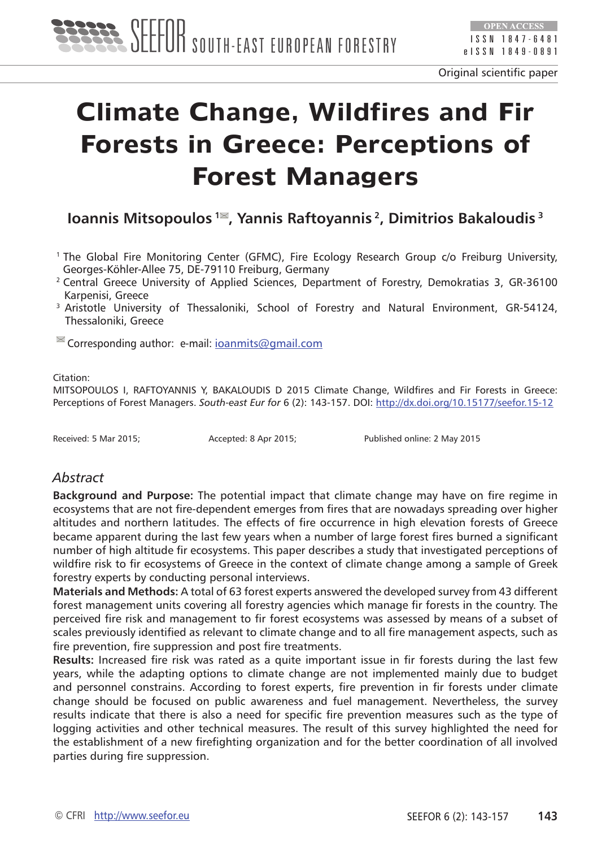

# **Climate Change, Wildfires and Fir Forests in Greece: Perceptions of Forest Managers**

## **Ioannis Mitsopoulos <sup>1</sup><sup>■</sup>, Yannis Raftoyannis <sup>2</sup>, Dimitrios Bakaloudis <sup>3</sup>**

- 1 The Global Fire Monitoring Center (GFMC), Fire Ecology Research Group c/o Freiburg University, Georges-Köhler-Allee 75, DE-79110 Freiburg, Germany
- <sup>2</sup> Central Greece University of Applied Sciences, Department of Forestry, Demokratias 3, GR-36100 Karpenisi, Greece
- <sup>3</sup> Aristotle University of Thessaloniki, School of Forestry and Natural Environment, GR-54124, Thessaloniki, Greece

 $\blacksquare$  Corresponding author: e-mail: [ioanmits@gmail.com](mailto:ioanmits@gmail.com)

Citation:

MITSOPOULOS I, RAFTOYANNIS Y, BAKALOUDIS D 2015 Climate Change, Wildfires and Fir Forests in Greece: Perceptions of Forest Managers. *South-east Eur for* 6 (2): 143-157. DOI: <http://dx.doi.org/10.15177/seefor.15-12>

Received: 5 Mar 2015; Accepted: 8 Apr 2015; Published online: 2 May 2015

#### *Abstract*

**Background and Purpose:** The potential impact that climate change may have on fire regime in ecosystems that are not fire-dependent emerges from fires that are nowadays spreading over higher altitudes and northern latitudes. The effects of fire occurrence in high elevation forests of Greece became apparent during the last few years when a number of large forest fires burned a significant number of high altitude fir ecosystems. This paper describes a study that investigated perceptions of wildfire risk to fir ecosystems of Greece in the context of climate change among a sample of Greek forestry experts by conducting personal interviews.

**Materials and Methods:** A total of 63 forest experts answered the developed survey from 43 different forest management units covering all forestry agencies which manage fir forests in the country. The perceived fire risk and management to fir forest ecosystems was assessed by means of a subset of scales previously identified as relevant to climate change and to all fire management aspects, such as fire prevention, fire suppression and post fire treatments.

**Results:** Increased fire risk was rated as a quite important issue in fir forests during the last few years, while the adapting options to climate change are not implemented mainly due to budget and personnel constrains. According to forest experts, fire prevention in fir forests under climate change should be focused on public awareness and fuel management. Nevertheless, the survey results indicate that there is also a need for specific fire prevention measures such as the type of logging activities and other technical measures. The result of this survey highlighted the need for the establishment of a new firefighting organization and for the better coordination of all involved parties during fire suppression.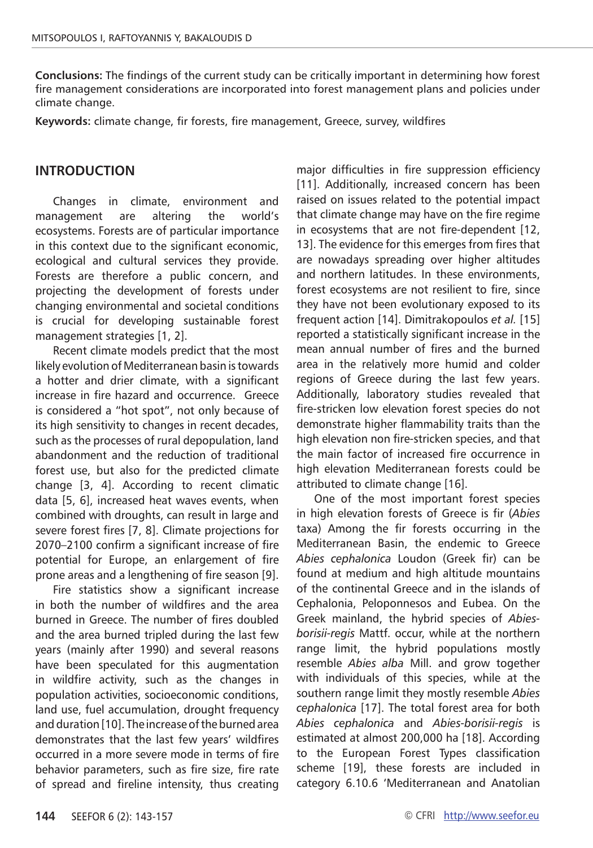**Conclusions:** The findings of the current study can be critically important in determining how forest fire management considerations are incorporated into forest management plans and policies under climate change.

**Keywords:** climate change, fir forests, fire management, Greece, survey, wildfires

#### **INTRODUCTION**

Changes in climate, environment and management are altering the world's ecosystems. Forests are of particular importance in this context due to the significant economic, ecological and cultural services they provide. Forests are therefore a public concern, and projecting the development of forests under changing environmental and societal conditions is crucial for developing sustainable forest management strategies [1, 2].

Recent climate models predict that the most likely evolution of Mediterranean basin is towards a hotter and drier climate, with a significant increase in fire hazard and occurrence. Greece is considered a "hot spot", not only because of its high sensitivity to changes in recent decades, such as the processes of rural depopulation, land abandonment and the reduction of traditional forest use, but also for the predicted climate change [3, 4]. According to recent climatic data [5, 6], increased heat waves events, when combined with droughts, can result in large and severe forest fires [7, 8]. Climate projections for 2070–2100 confirm a significant increase of fire potential for Europe, an enlargement of fire prone areas and a lengthening of fire season [9].

Fire statistics show a significant increase in both the number of wildfires and the area burned in Greece. The number of fires doubled and the area burned tripled during the last few years (mainly after 1990) and several reasons have been speculated for this augmentation in wildfire activity, such as the changes in population activities, socioeconomic conditions, land use, fuel accumulation, drought frequency and duration [10]. The increase of the burned area demonstrates that the last few years' wildfires occurred in a more severe mode in terms of fire behavior parameters, such as fire size, fire rate of spread and fireline intensity, thus creating major difficulties in fire suppression efficiency [11]. Additionally, increased concern has been raised on issues related to the potential impact that climate change may have on the fire regime in ecosystems that are not fire-dependent [12, 13]. The evidence for this emerges from fires that are nowadays spreading over higher altitudes and northern latitudes. In these environments, forest ecosystems are not resilient to fire, since they have not been evolutionary exposed to its frequent action [14]. Dimitrakopoulos *et al.* [15] reported a statistically significant increase in the mean annual number of fires and the burned area in the relatively more humid and colder regions of Greece during the last few years. Additionally, laboratory studies revealed that fire-stricken low elevation forest species do not demonstrate higher flammability traits than the high elevation non fire-stricken species, and that the main factor of increased fire occurrence in high elevation Mediterranean forests could be attributed to climate change [16].

One of the most important forest species in high elevation forests of Greece is fir (*Abies*  taxa) Among the fir forests occurring in the Mediterranean Basin, the endemic to Greece *Abies cephalonica* Loudon (Greek fir) can be found at medium and high altitude mountains of the continental Greece and in the islands of Cephalonia, Peloponnesos and Eubea. On the Greek mainland, the hybrid species of *Abiesborisii-regis* Mattf. occur, while at the northern range limit, the hybrid populations mostly resemble *Abies alba* Mill. and grow together with individuals of this species, while at the southern range limit they mostly resemble *Abies cephalonica* [17]. The total forest area for both *Abies cephalonica* and *Abies-borisii-regis* is estimated at almost 200,000 ha [18]. According to the European Forest Types classification scheme [19], these forests are included in category 6.10.6 'Mediterranean and Anatolian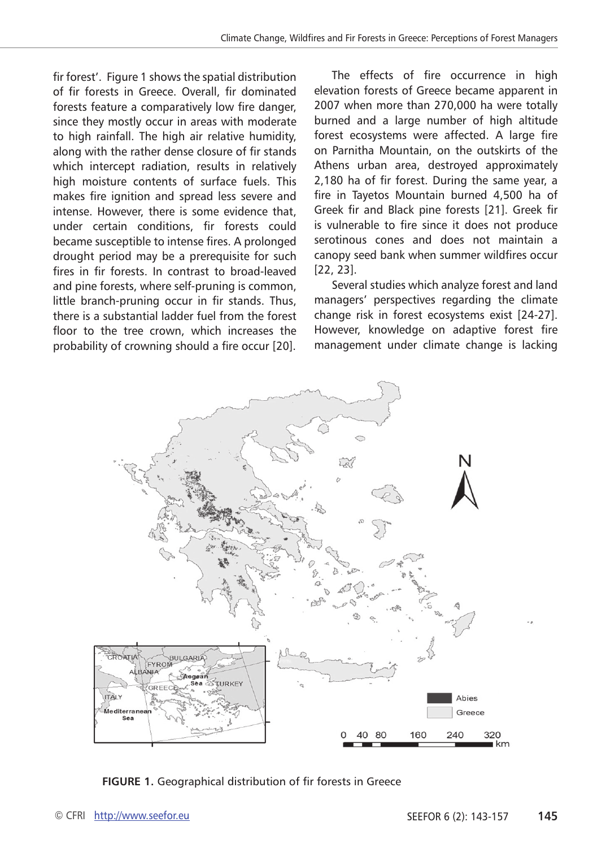fir forest'. Figure 1 shows the spatial distribution of fir forests in Greece. Overall, fir dominated forests feature a comparatively low fire danger, since they mostly occur in areas with moderate to high rainfall. The high air relative humidity, along with the rather dense closure of fir stands which intercept radiation, results in relatively high moisture contents of surface fuels. This makes fire ignition and spread less severe and intense. However, there is some evidence that, under certain conditions, fir forests could became susceptible to intense fires. A prolonged drought period may be a prerequisite for such fires in fir forests. In contrast to broad-leaved and pine forests, where self-pruning is common, little branch-pruning occur in fir stands. Thus, there is a substantial ladder fuel from the forest floor to the tree crown, which increases the probability of crowning should a fire occur [20].

The effects of fire occurrence in high elevation forests of Greece became apparent in 2007 when more than 270,000 ha were totally burned and a large number of high altitude forest ecosystems were affected. A large fire on Parnitha Mountain, on the outskirts of the Athens urban area, destroyed approximately 2,180 ha of fir forest. During the same year, a fire in Tayetos Mountain burned 4,500 ha of Greek fir and Black pine forests [21]. Greek fir is vulnerable to fire since it does not produce serotinous cones and does not maintain a canopy seed bank when summer wildfires occur [22, 23].

Several studies which analyze forest and land managers' perspectives regarding the climate change risk in forest ecosystems exist [24-27]. However, knowledge on adaptive forest fire management under climate change is lacking



**FIGURE 1.** Geographical distribution of fir forests in Greece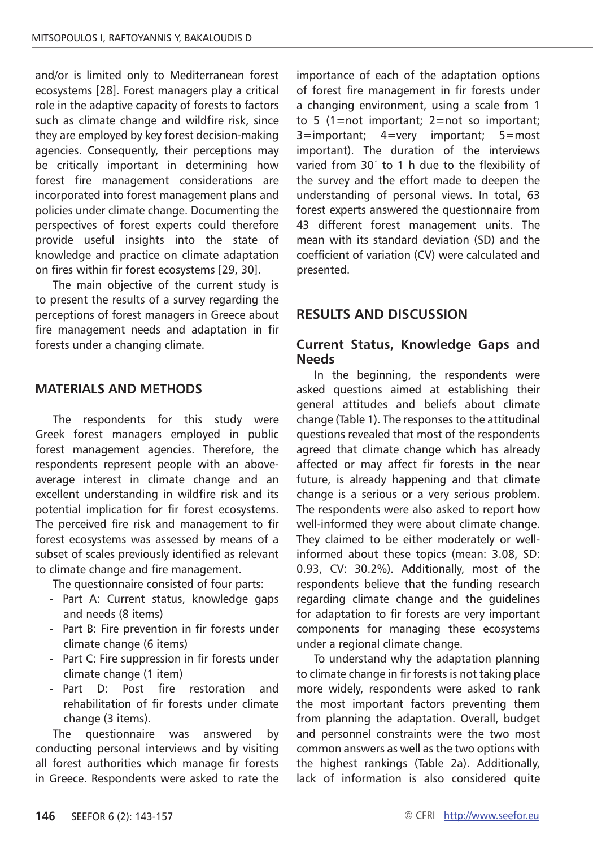and/or is limited only to Mediterranean forest ecosystems [28]. Forest managers play a critical role in the adaptive capacity of forests to factors such as climate change and wildfire risk, since they are employed by key forest decision-making agencies. Consequently, their perceptions may be critically important in determining how forest fire management considerations are incorporated into forest management plans and policies under climate change. Documenting the perspectives of forest experts could therefore provide useful insights into the state of knowledge and practice on climate adaptation on fires within fir forest ecosystems [29, 30].

The main objective of the current study is to present the results of a survey regarding the perceptions of forest managers in Greece about fire management needs and adaptation in fir forests under a changing climate.

#### **MATERIALS AND METHODS**

The respondents for this study were Greek forest managers employed in public forest management agencies. Therefore, the respondents represent people with an aboveaverage interest in climate change and an excellent understanding in wildfire risk and its potential implication for fir forest ecosystems. The perceived fire risk and management to fir forest ecosystems was assessed by means of a subset of scales previously identified as relevant to climate change and fire management.

The questionnaire consisted of four parts:

- Part A: Current status, knowledge gaps and needs (8 items)
- Part B: Fire prevention in fir forests under climate change (6 items)
- Part C: Fire suppression in fir forests under climate change (1 item)
- Part D: Post fire restoration and rehabilitation of fir forests under climate change (3 items).

The questionnaire was answered by conducting personal interviews and by visiting all forest authorities which manage fir forests in Greece. Respondents were asked to rate the importance of each of the adaptation options of forest fire management in fir forests under a changing environment, using a scale from 1 to 5 (1=not important; 2=not so important; 3=important; 4=very important; 5=most important). The duration of the interviews varied from 30΄ to 1 h due to the flexibility of the survey and the effort made to deepen the understanding of personal views. In total, 63 forest experts answered the questionnaire from 43 different forest management units. The mean with its standard deviation (SD) and the coefficient of variation (CV) were calculated and presented.

## **RESULTS AND DISCUSSION**

#### **Current Status, Knowledge Gaps and Needs**

In the beginning, the respondents were asked questions aimed at establishing their general attitudes and beliefs about climate change (Table 1). The responses to the attitudinal questions revealed that most of the respondents agreed that climate change which has already affected or may affect fir forests in the near future, is already happening and that climate change is a serious or a very serious problem. The respondents were also asked to report how well-informed they were about climate change. They claimed to be either moderately or wellinformed about these topics (mean: 3.08, SD: 0.93, CV: 30.2%). Additionally, most of the respondents believe that the funding research regarding climate change and the guidelines for adaptation to fir forests are very important components for managing these ecosystems under a regional climate change.

To understand why the adaptation planning to climate change in fir forests is not taking place more widely, respondents were asked to rank the most important factors preventing them from planning the adaptation. Overall, budget and personnel constraints were the two most common answers as well as the two options with the highest rankings (Table 2a). Additionally, lack of information is also considered quite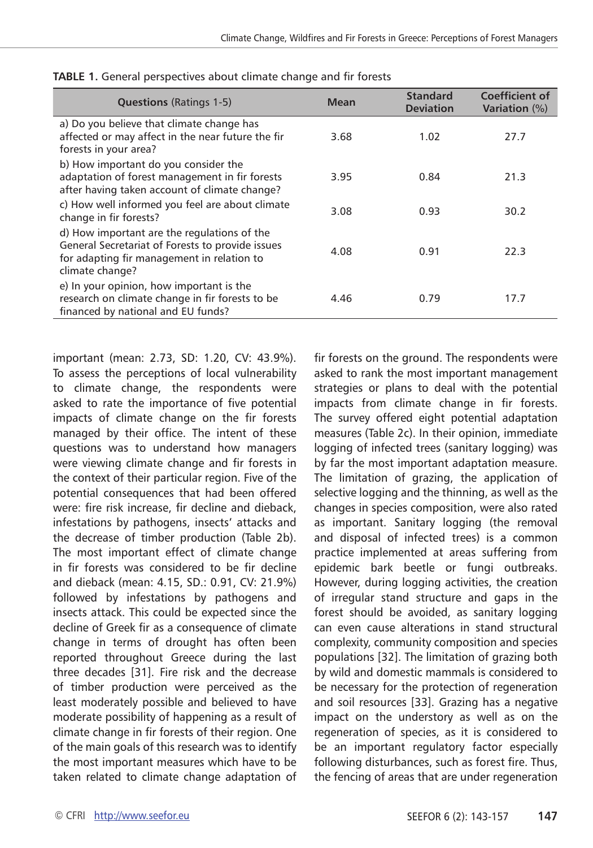| <b>Questions (Ratings 1-5)</b>                                                                                                                                   | <b>Mean</b> | <b>Standard</b><br><b>Deviation</b> | <b>Coefficient of</b><br><b>Variation</b> (%) |
|------------------------------------------------------------------------------------------------------------------------------------------------------------------|-------------|-------------------------------------|-----------------------------------------------|
| a) Do you believe that climate change has<br>affected or may affect in the near future the fir<br>forests in your area?                                          | 3.68        | 1.02                                | 27.7                                          |
| b) How important do you consider the<br>adaptation of forest management in fir forests<br>after having taken account of climate change?                          | 3.95        | 0.84                                | 21.3                                          |
| c) How well informed you feel are about climate<br>change in fir forests?                                                                                        | 3.08        | 0.93                                | 30.2                                          |
| d) How important are the regulations of the<br>General Secretariat of Forests to provide issues<br>for adapting fir management in relation to<br>climate change? | 4.08        | 0.91                                | 22.3                                          |
| e) In your opinion, how important is the<br>research on climate change in fir forests to be<br>financed by national and EU funds?                                | 4.46        | 0.79                                | 17.7                                          |

**TABLE 1.** General perspectives about climate change and fir forests

important (mean: 2.73, SD: 1.20, CV: 43.9%). To assess the perceptions of local vulnerability to climate change, the respondents were asked to rate the importance of five potential impacts of climate change on the fir forests managed by their office. The intent of these questions was to understand how managers were viewing climate change and fir forests in the context of their particular region. Five of the potential consequences that had been offered were: fire risk increase, fir decline and dieback, infestations by pathogens, insects' attacks and the decrease of timber production (Table 2b). The most important effect of climate change in fir forests was considered to be fir decline and dieback (mean: 4.15, SD.: 0.91, CV: 21.9%) followed by infestations by pathogens and insects attack. This could be expected since the decline of Greek fir as a consequence of climate change in terms of drought has often been reported throughout Greece during the last three decades [31]. Fire risk and the decrease of timber production were perceived as the least moderately possible and believed to have moderate possibility of happening as a result of climate change in fir forests of their region. One of the main goals of this research was to identify the most important measures which have to be taken related to climate change adaptation of

fir forests on the ground. The respondents were asked to rank the most important management strategies or plans to deal with the potential impacts from climate change in fir forests. The survey offered eight potential adaptation measures (Table 2c). In their opinion, immediate logging of infected trees (sanitary logging) was by far the most important adaptation measure. The limitation of grazing, the application of selective logging and the thinning, as well as the changes in species composition, were also rated as important. Sanitary logging (the removal and disposal of infected trees) is a common practice implemented at areas suffering from epidemic bark beetle or fungi outbreaks. However, during logging activities, the creation of irregular stand structure and gaps in the forest should be avoided, as sanitary logging can even cause alterations in stand structural complexity, community composition and species populations [32]. The limitation of grazing both by wild and domestic mammals is considered to be necessary for the protection of regeneration and soil resources [33]. Grazing has a negative impact on the understory as well as on the regeneration of species, as it is considered to be an important regulatory factor especially following disturbances, such as forest fire. Thus, the fencing of areas that are under regeneration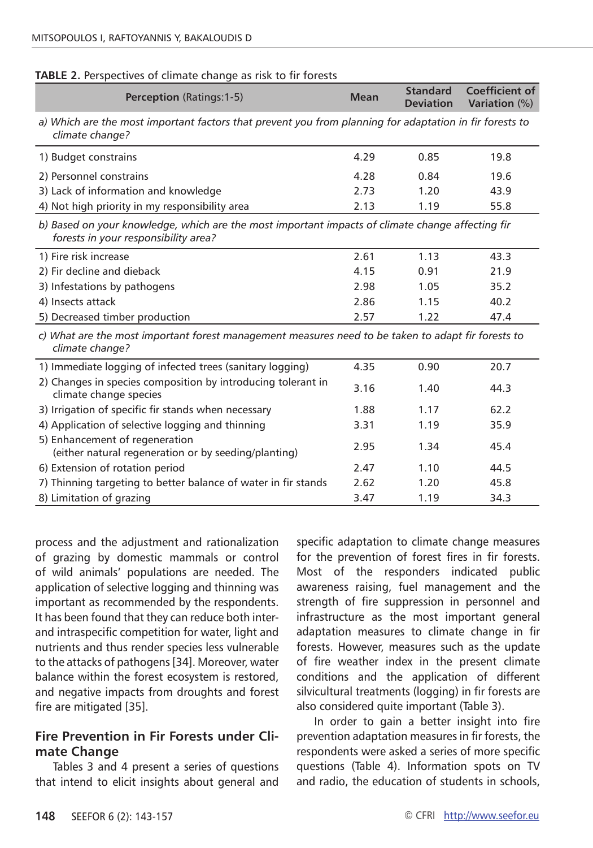| TABLE 2. Perspectives of climate change as risk to fir forests |  |  |
|----------------------------------------------------------------|--|--|
|----------------------------------------------------------------|--|--|

| <b>Perception (Ratings: 1-5)</b>                                                                                                         | <b>Mean</b> | <b>Standard</b><br><b>Deviation</b> | Coefficient of<br><b>Variation (%)</b> |  |
|------------------------------------------------------------------------------------------------------------------------------------------|-------------|-------------------------------------|----------------------------------------|--|
| a) Which are the most important factors that prevent you from planning for adaptation in fir forests to<br>climate change?               |             |                                     |                                        |  |
| 1) Budget constrains                                                                                                                     | 4.29        | 0.85                                | 19.8                                   |  |
| 2) Personnel constrains                                                                                                                  | 4.28        | 0.84                                | 19.6                                   |  |
| 3) Lack of information and knowledge                                                                                                     | 2.73        | 1.20                                | 43.9                                   |  |
| 4) Not high priority in my responsibility area                                                                                           | 2.13        | 1.19                                | 55.8                                   |  |
| b) Based on your knowledge, which are the most important impacts of climate change affecting fir<br>forests in your responsibility area? |             |                                     |                                        |  |
| 1) Fire risk increase                                                                                                                    | 2.61        | 1.13                                | 43.3                                   |  |
| 2) Fir decline and dieback                                                                                                               | 4.15        | 0.91                                | 21.9                                   |  |
| 3) Infestations by pathogens                                                                                                             | 2.98        | 1.05                                | 35.2                                   |  |
| 4) Insects attack                                                                                                                        | 2.86        | 1.15                                | 40.2                                   |  |
| 5) Decreased timber production                                                                                                           | 2.57        | 1.22                                | 47.4                                   |  |
| c) What are the most important forest management measures need to be taken to adapt fir forests to<br>climate change?                    |             |                                     |                                        |  |
| 1) Immediate logging of infected trees (sanitary logging)                                                                                | 4.35        | 0.90                                | 20.7                                   |  |
| 2) Changes in species composition by introducing tolerant in<br>climate change species                                                   | 3.16        | 1.40                                | 44.3                                   |  |
| 3) Irrigation of specific fir stands when necessary                                                                                      | 1.88        | 1.17                                | 62.2                                   |  |
| 4) Application of selective logging and thinning                                                                                         | 3.31        | 1.19                                | 35.9                                   |  |
| 5) Enhancement of regeneration<br>(either natural regeneration or by seeding/planting)                                                   | 2.95        | 1.34                                | 45.4                                   |  |
| 6) Extension of rotation period                                                                                                          | 2.47        | 1.10                                | 44.5                                   |  |
| 7) Thinning targeting to better balance of water in fir stands                                                                           | 2.62        | 1.20                                | 45.8                                   |  |
| 8) Limitation of grazing                                                                                                                 | 3.47        | 1.19                                | 34.3                                   |  |

process and the adjustment and rationalization of grazing by domestic mammals or control of wild animals' populations are needed. The application of selective logging and thinning was important as recommended by the respondents. It has been found that they can reduce both interand intraspecific competition for water, light and nutrients and thus render species less vulnerable to the attacks of pathogens [34]. Moreover, water balance within the forest ecosystem is restored, and negative impacts from droughts and forest fire are mitigated [35].

## **Fire Prevention in Fir Forests under Climate Change**

Tables 3 and 4 present a series of questions that intend to elicit insights about general and specific adaptation to climate change measures for the prevention of forest fires in fir forests. Most of the responders indicated public awareness raising, fuel management and the strength of fire suppression in personnel and infrastructure as the most important general adaptation measures to climate change in fir forests. However, measures such as the update of fire weather index in the present climate conditions and the application of different silvicultural treatments (logging) in fir forests are also considered quite important (Table 3).

In order to gain a better insight into fire prevention adaptation measures in fir forests, the respondents were asked a series of more specific questions (Table 4). Information spots on TV and radio, the education of students in schools,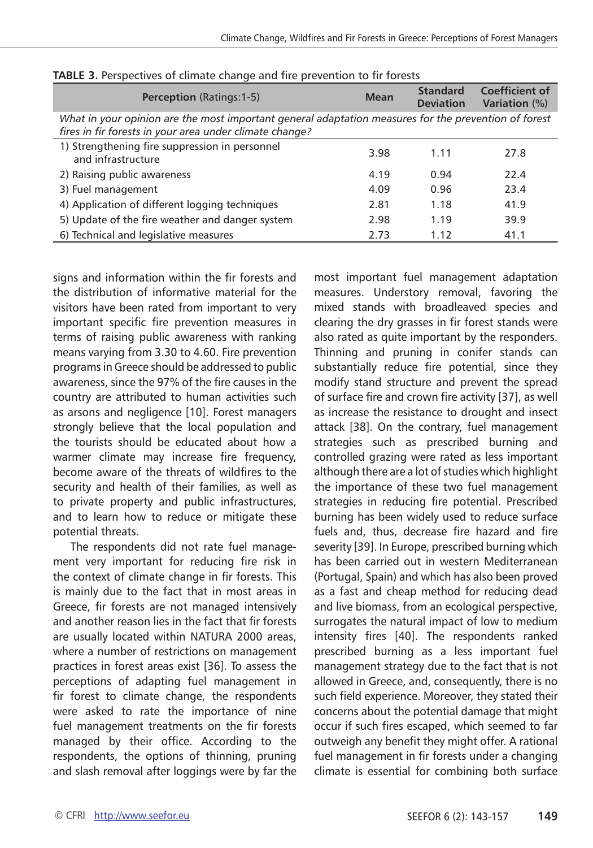| <b>Perception (Ratings:1-5)</b>                                                                                                                                 | <b>Mean</b> | <b>Standard</b><br><b>Deviation</b> | <b>Coefficient of</b><br><b>Variation</b> (%) |
|-----------------------------------------------------------------------------------------------------------------------------------------------------------------|-------------|-------------------------------------|-----------------------------------------------|
| What in your opinion are the most important general adaptation measures for the prevention of forest<br>fires in fir forests in your area under climate change? |             |                                     |                                               |
| 1) Strengthening fire suppression in personnel<br>and infrastructure                                                                                            | 3.98        | 1.11                                | 27.8                                          |
| 2) Raising public awareness                                                                                                                                     | 4.19        | 0.94                                | 22.4                                          |
| 3) Fuel management                                                                                                                                              | 4.09        | 0.96                                | 23.4                                          |
| 4) Application of different logging techniques                                                                                                                  | 2.81        | 1.18                                | 41.9                                          |
| 5) Update of the fire weather and danger system                                                                                                                 | 2.98        | 1.19                                | 39.9                                          |
| 6) Technical and legislative measures                                                                                                                           | 2.73        | 1.12                                | 41.1                                          |

**TABLE 3.** Perspectives of climate change and fire prevention to fir forests

signs and information within the fir forests and the distribution of informative material for the visitors have been rated from important to very important specific fire prevention measures in terms of raising public awareness with ranking means varying from 3.30 to 4.60. Fire prevention programs in Greece should be addressed to public awareness, since the 97% of the fire causes in the country are attributed to human activities such as arsons and negligence [10]. Forest managers strongly believe that the local population and the tourists should be educated about how a warmer climate may increase fire frequency, become aware of the threats of wildfires to the security and health of their families, as well as to private property and public infrastructures, and to learn how to reduce or mitigate these potential threats.

The respondents did not rate fuel management very important for reducing fire risk in the context of climate change in fir forests. This is mainly due to the fact that in most areas in Greece, fir forests are not managed intensively and another reason lies in the fact that fir forests are usually located within NATURA 2000 areas, where a number of restrictions on management practices in forest areas exist [36]. To assess the perceptions of adapting fuel management in fir forest to climate change, the respondents were asked to rate the importance of nine fuel management treatments on the fir forests managed by their office. According to the respondents, the options of thinning, pruning and slash removal after loggings were by far the most important fuel management adaptation measures. Understory removal, favoring the mixed stands with broadleaved species and clearing the dry grasses in fir forest stands were also rated as quite important by the responders. Thinning and pruning in conifer stands can substantially reduce fire potential, since they modify stand structure and prevent the spread of surface fire and crown fire activity [37], as well as increase the resistance to drought and insect attack [38]. On the contrary, fuel management strategies such as prescribed burning and controlled grazing were rated as less important although there are a lot of studies which highlight the importance of these two fuel management strategies in reducing fire potential. Prescribed burning has been widely used to reduce surface fuels and, thus, decrease fire hazard and fire severity [39]. In Europe, prescribed burning which has been carried out in western Mediterranean (Portugal, Spain) and which has also been proved as a fast and cheap method for reducing dead and live biomass, from an ecological perspective, surrogates the natural impact of low to medium intensity fires [40]. The respondents ranked prescribed burning as a less important fuel management strategy due to the fact that is not allowed in Greece, and, consequently, there is no such field experience. Moreover, they stated their concerns about the potential damage that might occur if such fires escaped, which seemed to far outweigh any benefit they might offer. A rational fuel management in fir forests under a changing climate is essential for combining both surface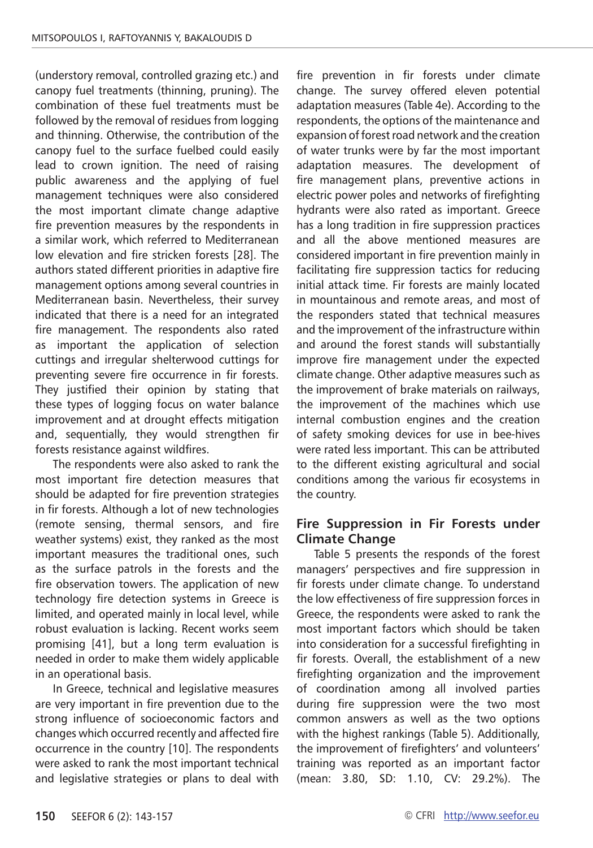(understory removal, controlled grazing etc.) and canopy fuel treatments (thinning, pruning). The combination of these fuel treatments must be followed by the removal of residues from logging and thinning. Otherwise, the contribution of the canopy fuel to the surface fuelbed could easily lead to crown ignition. The need of raising public awareness and the applying of fuel management techniques were also considered the most important climate change adaptive fire prevention measures by the respondents in a similar work, which referred to Mediterranean low elevation and fire stricken forests [28]. The authors stated different priorities in adaptive fire management options among several countries in Mediterranean basin. Nevertheless, their survey indicated that there is a need for an integrated fire management. The respondents also rated as important the application of selection cuttings and irregular shelterwood cuttings for preventing severe fire occurrence in fir forests. They justified their opinion by stating that these types of logging focus on water balance improvement and at drought effects mitigation and, sequentially, they would strengthen fir forests resistance against wildfires.

The respondents were also asked to rank the most important fire detection measures that should be adapted for fire prevention strategies in fir forests. Although a lot of new technologies (remote sensing, thermal sensors, and fire weather systems) exist, they ranked as the most important measures the traditional ones, such as the surface patrols in the forests and the fire observation towers. The application of new technology fire detection systems in Greece is limited, and operated mainly in local level, while robust evaluation is lacking. Recent works seem promising [41], but a long term evaluation is needed in order to make them widely applicable in an operational basis.

In Greece, technical and legislative measures are very important in fire prevention due to the strong influence of socioeconomic factors and changes which occurred recently and affected fire occurrence in the country [10]. The respondents were asked to rank the most important technical and legislative strategies or plans to deal with fire prevention in fir forests under climate change. The survey offered eleven potential adaptation measures (Table 4e). According to the respondents, the options of the maintenance and expansion of forest road network and the creation of water trunks were by far the most important adaptation measures. The development of fire management plans, preventive actions in electric power poles and networks of firefighting hydrants were also rated as important. Greece has a long tradition in fire suppression practices and all the above mentioned measures are considered important in fire prevention mainly in facilitating fire suppression tactics for reducing initial attack time. Fir forests are mainly located in mountainous and remote areas, and most of the responders stated that technical measures and the improvement of the infrastructure within and around the forest stands will substantially improve fire management under the expected climate change. Other adaptive measures such as the improvement of brake materials on railways, the improvement of the machines which use internal combustion engines and the creation of safety smoking devices for use in bee-hives were rated less important. This can be attributed to the different existing agricultural and social conditions among the various fir ecosystems in the country.

## **Fire Suppression in Fir Forests under Climate Change**

Table 5 presents the responds of the forest managers' perspectives and fire suppression in fir forests under climate change. To understand the low effectiveness of fire suppression forces in Greece, the respondents were asked to rank the most important factors which should be taken into consideration for a successful firefighting in fir forests. Overall, the establishment of a new firefighting organization and the improvement of coordination among all involved parties during fire suppression were the two most common answers as well as the two options with the highest rankings (Table 5). Additionally, the improvement of firefighters' and volunteers' training was reported as an important factor (mean: 3.80, SD: 1.10, CV: 29.2%). The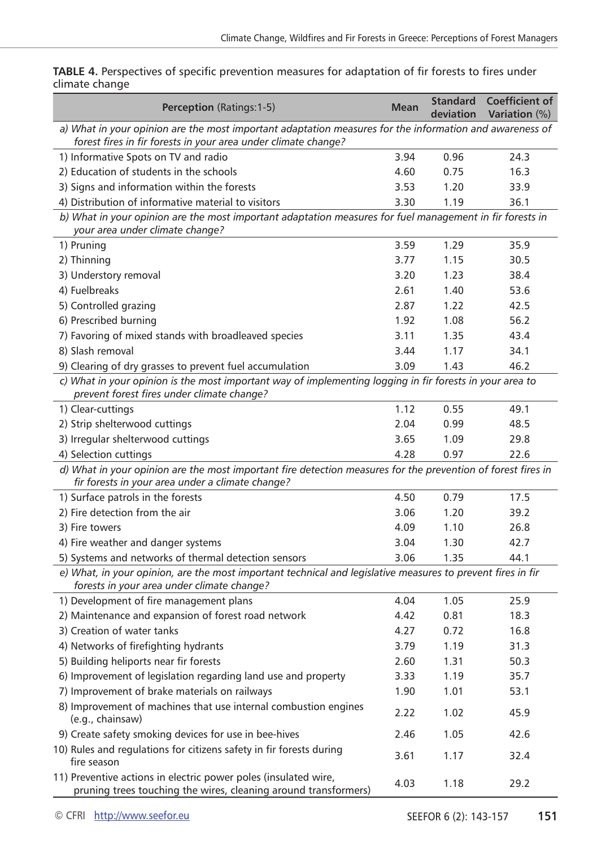| Perception (Ratings:1-5)                                                                                                                                                  | <b>Mean</b> | <b>Standard</b><br>deviation | <b>Coefficient of</b><br><b>Variation</b> (%) |
|---------------------------------------------------------------------------------------------------------------------------------------------------------------------------|-------------|------------------------------|-----------------------------------------------|
| a) What in your opinion are the most important adaptation measures for the information and awareness of<br>forest fires in fir forests in your area under climate change? |             |                              |                                               |
| 1) Informative Spots on TV and radio                                                                                                                                      | 3.94        | 0.96                         | 24.3                                          |
| 2) Education of students in the schools                                                                                                                                   | 4.60        | 0.75                         | 16.3                                          |
| 3) Signs and information within the forests                                                                                                                               | 3.53        | 1.20                         | 33.9                                          |
| 4) Distribution of informative material to visitors                                                                                                                       | 3.30        | 1.19                         | 36.1                                          |
| b) What in your opinion are the most important adaptation measures for fuel management in fir forests in<br>your area under climate change?                               |             |                              |                                               |
| 1) Pruning                                                                                                                                                                | 3.59        | 1.29                         | 35.9                                          |
| 2) Thinning                                                                                                                                                               | 3.77        | 1.15                         | 30.5                                          |
| 3) Understory removal                                                                                                                                                     | 3.20        | 1.23                         | 38.4                                          |
| 4) Fuelbreaks                                                                                                                                                             | 2.61        | 1.40                         | 53.6                                          |
| 5) Controlled grazing                                                                                                                                                     | 2.87        | 1.22                         | 42.5                                          |
| 6) Prescribed burning                                                                                                                                                     | 1.92        | 1.08                         | 56.2                                          |
| 7) Favoring of mixed stands with broadleaved species                                                                                                                      | 3.11        | 1.35                         | 43.4                                          |
| 8) Slash removal                                                                                                                                                          | 3.44        | 1.17                         | 34.1                                          |
| 9) Clearing of dry grasses to prevent fuel accumulation                                                                                                                   | 3.09        | 1.43                         | 46.2                                          |
| c) What in your opinion is the most important way of implementing logging in fir forests in your area to<br>prevent forest fires under climate change?                    |             |                              |                                               |
| 1) Clear-cuttings                                                                                                                                                         | 1.12        | 0.55                         | 49.1                                          |
| 2) Strip shelterwood cuttings                                                                                                                                             | 2.04        | 0.99                         | 48.5                                          |
| 3) Irregular shelterwood cuttings                                                                                                                                         | 3.65        | 1.09                         | 29.8                                          |
| 4) Selection cuttings                                                                                                                                                     | 4.28        | 0.97                         | 22.6                                          |
| d) What in your opinion are the most important fire detection measures for the prevention of forest fires in<br>fir forests in your area under a climate change?          |             |                              |                                               |
| 1) Surface patrols in the forests                                                                                                                                         | 4.50        | 0.79                         | 17.5                                          |
| 2) Fire detection from the air                                                                                                                                            | 3.06        | 1.20                         | 39.2                                          |
| 3) Fire towers                                                                                                                                                            | 4.09        | 1.10                         | 26.8                                          |
| 4) Fire weather and danger systems                                                                                                                                        | 3.04        | 1.30                         | 42.7                                          |
| 5) Systems and networks of thermal detection sensors                                                                                                                      | 3.06        | 1.35                         | 44.1                                          |
| e) What, in your opinion, are the most important technical and legislative measures to prevent fires in fir<br>forests in your area under climate change?                 |             |                              |                                               |
| 1) Development of fire management plans                                                                                                                                   | 4.04        | 1.05                         | 25.9                                          |
| 2) Maintenance and expansion of forest road network                                                                                                                       | 4.42        | 0.81                         | 18.3                                          |
| 3) Creation of water tanks                                                                                                                                                | 4.27        | 0.72                         | 16.8                                          |
| 4) Networks of firefighting hydrants                                                                                                                                      | 3.79        | 1.19                         | 31.3                                          |
| 5) Building heliports near fir forests                                                                                                                                    | 2.60        | 1.31                         | 50.3                                          |
| 6) Improvement of legislation regarding land use and property                                                                                                             | 3.33        | 1.19                         | 35.7                                          |
| 7) Improvement of brake materials on railways                                                                                                                             | 1.90        | 1.01                         | 53.1                                          |
| 8) Improvement of machines that use internal combustion engines<br>(e.g., chainsaw)                                                                                       | 2.22        | 1.02                         | 45.9                                          |
| 9) Create safety smoking devices for use in bee-hives                                                                                                                     | 2.46        | 1.05                         | 42.6                                          |
| 10) Rules and regulations for citizens safety in fir forests during<br>fire season                                                                                        | 3.61        | 1.17                         | 32.4                                          |
| 11) Preventive actions in electric power poles (insulated wire,<br>pruning trees touching the wires, cleaning around transformers)                                        | 4.03        | 1.18                         | 29.2                                          |

**TABLE 4.** Perspectives of specific prevention measures for adaptation of fir forests to fires under climate change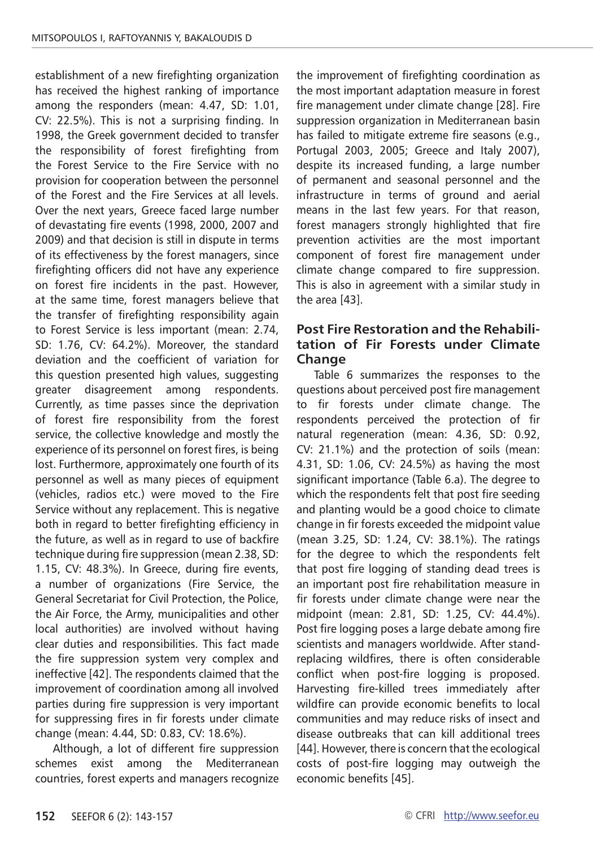establishment of a new firefighting organization has received the highest ranking of importance among the responders (mean: 4.47, SD: 1.01, CV: 22.5%). This is not a surprising finding. In 1998, the Greek government decided to transfer the responsibility of forest firefighting from the Forest Service to the Fire Service with no provision for cooperation between the personnel of the Forest and the Fire Services at all levels. Over the next years, Greece faced large number of devastating fire events (1998, 2000, 2007 and 2009) and that decision is still in dispute in terms of its effectiveness by the forest managers, since firefighting officers did not have any experience on forest fire incidents in the past. However, at the same time, forest managers believe that the transfer of firefighting responsibility again to Forest Service is less important (mean: 2.74, SD: 1.76, CV: 64.2%). Moreover, the standard deviation and the coefficient of variation for this question presented high values, suggesting greater disagreement among respondents. Currently, as time passes since the deprivation of forest fire responsibility from the forest service, the collective knowledge and mostly the experience of its personnel on forest fires, is being lost. Furthermore, approximately one fourth of its personnel as well as many pieces of equipment (vehicles, radios etc.) were moved to the Fire Service without any replacement. This is negative both in regard to better firefighting efficiency in the future, as well as in regard to use of backfire technique during fire suppression (mean 2.38, SD: 1.15, CV: 48.3%). In Greece, during fire events, a number of organizations (Fire Service, the General Secretariat for Civil Protection, the Police, the Air Force, the Army, municipalities and other local authorities) are involved without having clear duties and responsibilities. This fact made the fire suppression system very complex and ineffective [42]. The respondents claimed that the improvement of coordination among all involved parties during fire suppression is very important for suppressing fires in fir forests under climate change (mean: 4.44, SD: 0.83, CV: 18.6%).

Although, a lot of different fire suppression schemes exist among the Mediterranean countries, forest experts and managers recognize

the improvement of firefighting coordination as the most important adaptation measure in forest fire management under climate change [28]. Fire suppression organization in Mediterranean basin has failed to mitigate extreme fire seasons (e.g., Portugal 2003, 2005; Greece and Italy 2007), despite its increased funding, a large number of permanent and seasonal personnel and the infrastructure in terms of ground and aerial means in the last few years. For that reason, forest managers strongly highlighted that fire prevention activities are the most important component of forest fire management under climate change compared to fire suppression. This is also in agreement with a similar study in the area [43].

## **Post Fire Restoration and the Rehabilitation of Fir Forests under Climate Change**

Table 6 summarizes the responses to the questions about perceived post fire management to fir forests under climate change. The respondents perceived the protection of fir natural regeneration (mean: 4.36, SD: 0.92, CV: 21.1%) and the protection of soils (mean: 4.31, SD: 1.06, CV: 24.5%) as having the most significant importance (Table 6.a). The degree to which the respondents felt that post fire seeding and planting would be a good choice to climate change in fir forests exceeded the midpoint value (mean 3.25, SD: 1.24, CV: 38.1%). The ratings for the degree to which the respondents felt that post fire logging of standing dead trees is an important post fire rehabilitation measure in fir forests under climate change were near the midpoint (mean: 2.81, SD: 1.25, CV: 44.4%). Post fire logging poses a large debate among fire scientists and managers worldwide. After standreplacing wildfires, there is often considerable conflict when post-fire logging is proposed. Harvesting fire-killed trees immediately after wildfire can provide economic benefits to local communities and may reduce risks of insect and disease outbreaks that can kill additional trees [44]. However, there is concern that the ecological costs of post-fire logging may outweigh the economic benefits [45].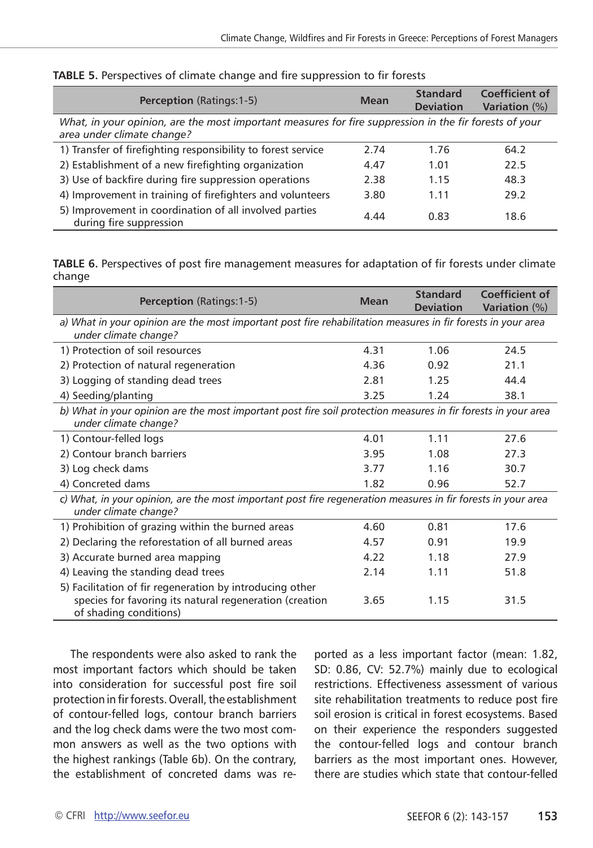| <b>Perception (Ratings:1-5)</b>                                                                                                      | Mean | <b>Standard</b><br><b>Deviation</b> | Coefficient of<br><b>Variation</b> (%) |
|--------------------------------------------------------------------------------------------------------------------------------------|------|-------------------------------------|----------------------------------------|
| What, in your opinion, are the most important measures for fire suppression in the fir forests of your<br>area under climate change? |      |                                     |                                        |
| 1) Transfer of firefighting responsibility to forest service                                                                         | 2.74 | 1.76                                | 64.2                                   |
| 2) Establishment of a new firefighting organization                                                                                  | 4.47 | 1.01                                | 22.5                                   |
| 3) Use of backfire during fire suppression operations                                                                                | 2.38 | 1.15                                | 48.3                                   |
| 4) Improvement in training of firefighters and volunteers                                                                            | 3.80 | 1.11                                | 29.2                                   |
| 5) Improvement in coordination of all involved parties<br>during fire suppression                                                    | 4.44 | 0.83                                | 18.6                                   |

#### **TABLE 5.** Perspectives of climate change and fire suppression to fir forests

**TABLE 6.** Perspectives of post fire management measures for adaptation of fir forests under climate change

| <b>Perception</b> (Ratings: 1-5)                                                                                                              | <b>Mean</b> | <b>Standard</b><br><b>Deviation</b> | <b>Coefficient of</b><br><b>Variation</b> (%) |  |
|-----------------------------------------------------------------------------------------------------------------------------------------------|-------------|-------------------------------------|-----------------------------------------------|--|
| a) What in your opinion are the most important post fire rehabilitation measures in fir forests in your area<br>under climate change?         |             |                                     |                                               |  |
| 1) Protection of soil resources                                                                                                               | 4.31        | 1.06                                | 24.5                                          |  |
| 2) Protection of natural regeneration                                                                                                         | 4.36        | 0.92                                | 21.1                                          |  |
| 3) Logging of standing dead trees                                                                                                             | 2.81        | 1.25                                | 44.4                                          |  |
| 4) Seeding/planting                                                                                                                           | 3.25        | 1.24                                | 38.1                                          |  |
| b) What in your opinion are the most important post fire soil protection measures in fir forests in your area<br>under climate change?        |             |                                     |                                               |  |
| 1) Contour-felled logs                                                                                                                        | 4.01        | 1.11                                | 27.6                                          |  |
| 2) Contour branch barriers                                                                                                                    | 3.95        | 1.08                                | 27.3                                          |  |
| 3) Log check dams                                                                                                                             | 3.77        | 1.16                                | 30.7                                          |  |
| 4) Concreted dams                                                                                                                             | 1.82        | 0.96                                | 52.7                                          |  |
| c) What, in your opinion, are the most important post fire regeneration measures in fir forests in your area<br>under climate change?         |             |                                     |                                               |  |
| 1) Prohibition of grazing within the burned areas                                                                                             | 4.60        | 0.81                                | 17.6                                          |  |
| 2) Declaring the reforestation of all burned areas                                                                                            | 4.57        | 0.91                                | 19.9                                          |  |
| 3) Accurate burned area mapping                                                                                                               | 4.22        | 1.18                                | 27.9                                          |  |
| 4) Leaving the standing dead trees                                                                                                            | 2.14        | 1.11                                | 51.8                                          |  |
| 5) Facilitation of fir regeneration by introducing other<br>species for favoring its natural regeneration (creation<br>of shading conditions) | 3.65        | 1.15                                | 31.5                                          |  |

The respondents were also asked to rank the most important factors which should be taken into consideration for successful post fire soil protection in fir forests. Overall, the establishment of contour-felled logs, contour branch barriers and the log check dams were the two most common answers as well as the two options with the highest rankings (Table 6b). On the contrary, the establishment of concreted dams was re-

ported as a less important factor (mean: 1.82, SD: 0.86, CV: 52.7%) mainly due to ecological restrictions. Effectiveness assessment of various site rehabilitation treatments to reduce post fire soil erosion is critical in forest ecosystems. Based on their experience the responders suggested the contour-felled logs and contour branch barriers as the most important ones. However, there are studies which state that contour-felled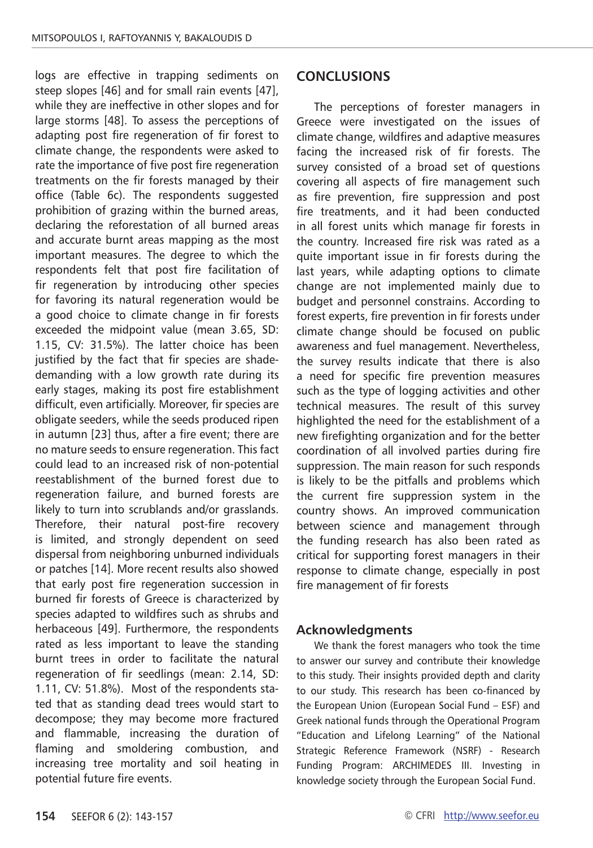logs are effective in trapping sediments on steep slopes [46] and for small rain events [47], while they are ineffective in other slopes and for large storms [48]. To assess the perceptions of adapting post fire regeneration of fir forest to climate change, the respondents were asked to rate the importance of five post fire regeneration treatments on the fir forests managed by their office (Table 6c). The respondents suggested prohibition of grazing within the burned areas, declaring the reforestation of all burned areas and accurate burnt areas mapping as the most important measures. The degree to which the respondents felt that post fire facilitation of fir regeneration by introducing other species for favoring its natural regeneration would be a good choice to climate change in fir forests exceeded the midpoint value (mean 3.65, SD: 1.15, CV: 31.5%). The latter choice has been justified by the fact that fir species are shadedemanding with a low growth rate during its early stages, making its post fire establishment difficult, even artificially. Moreover, fir species are obligate seeders, while the seeds produced ripen in autumn [23] thus, after a fire event; there are no mature seeds to ensure regeneration. This fact could lead to an increased risk of non-potential reestablishment of the burned forest due to regeneration failure, and burned forests are likely to turn into scrublands and/or grasslands. Therefore, their natural post-fire recovery is limited, and strongly dependent on seed dispersal from neighboring unburned individuals or patches [14]. More recent results also showed that early post fire regeneration succession in burned fir forests of Greece is characterized by species adapted to wildfires such as shrubs and herbaceous [49]. Furthermore, the respondents rated as less important to leave the standing burnt trees in order to facilitate the natural regeneration of fir seedlings (mean: 2.14, SD: 1.11, CV: 51.8%). Most of the respondents stated that as standing dead trees would start to decompose; they may become more fractured and flammable, increasing the duration of flaming and smoldering combustion, and increasing tree mortality and soil heating in potential future fire events.

#### **CONCLUSIONS**

The perceptions of forester managers in Greece were investigated on the issues of climate change, wildfires and adaptive measures facing the increased risk of fir forests. The survey consisted of a broad set of questions covering all aspects of fire management such as fire prevention, fire suppression and post fire treatments, and it had been conducted in all forest units which manage fir forests in the country. Increased fire risk was rated as a quite important issue in fir forests during the last years, while adapting options to climate change are not implemented mainly due to budget and personnel constrains. According to forest experts, fire prevention in fir forests under climate change should be focused on public awareness and fuel management. Nevertheless, the survey results indicate that there is also a need for specific fire prevention measures such as the type of logging activities and other technical measures. The result of this survey highlighted the need for the establishment of a new firefighting organization and for the better coordination of all involved parties during fire suppression. The main reason for such responds is likely to be the pitfalls and problems which the current fire suppression system in the country shows. An improved communication between science and management through the funding research has also been rated as critical for supporting forest managers in their response to climate change, especially in post fire management of fir forests

#### **Acknowledgments**

We thank the forest managers who took the time to answer our survey and contribute their knowledge to this study. Their insights provided depth and clarity to our study. This research has been co-financed by the European Union (European Social Fund – ESF) and Greek national funds through the Operational Program "Education and Lifelong Learning" of the National Strategic Reference Framework (NSRF) - Research Funding Program: ARCHIMEDES III. Investing in knowledge society through the European Social Fund.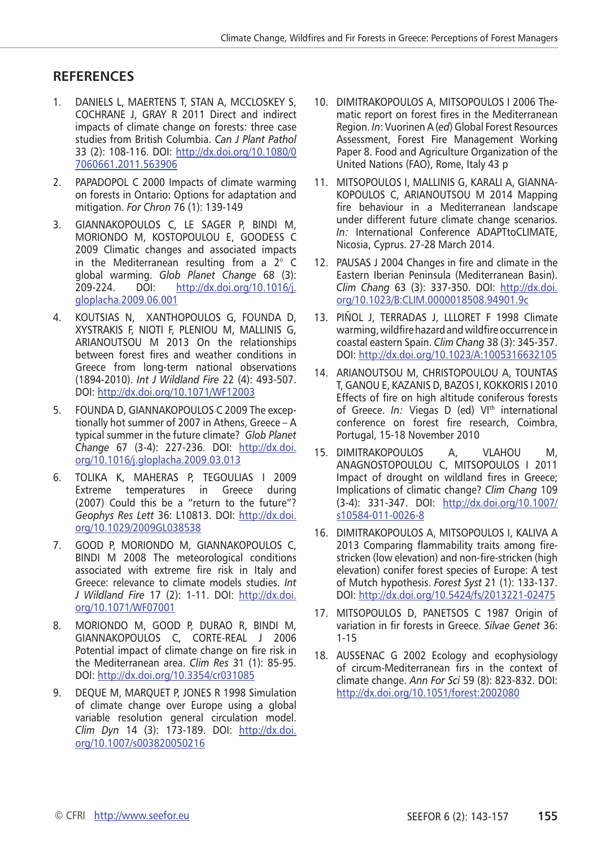## **RefereNces**

- 1. Daniels L, MAERTENS T, Stan A, McCloskey s, COCHRANE J, GRAY R 2011 Direct and indirect impacts of climate change on forests: three case studies from British Columbia. *Can J Plant Pathol* 33 (2): 108-116. DOI: [http://dx.doi.org/10.1080/0](http://dx.doi.org/10.1080/07060661.2011.563906) [7060661.2011.563906](http://dx.doi.org/10.1080/07060661.2011.563906)
- 2. PAPADOPOL C 2000 Impacts of climate warming on forests in Ontario: Options for adaptation and mitigation. *For Chron* 76 (1): 139-149
- 3. Giannakopoulos C, Le Sager p, Bindi m, Moriondo m, Kostopoulou e, Goodess c 2009 Climatic changes and associated impacts in the Mediterranean resulting from a 2° C global warming. *Glob Planet Change* 68 (3): 209-224. DOI: [http://dx.doi.org/10.1016/j.](http://dx.doi.org/10.1016/j.gloplacha.2009.06.001) [gloplacha.2009.06.001](http://dx.doi.org/10.1016/j.gloplacha.2009.06.001)
- 4. Koutsias N, Xanthopoulos g, Founda d, Xystrakis F, Nioti f, Pleniou m, Mallinis g, ARIANOUTSOU M 2013 On the relationships between forest fires and weather conditions in Greece from long-term national observations (1894-2010). *Int J Wildland Fire* 22 (4): 493-507. DOI:<http://dx.doi.org/10.1071/WF12003>
- 5. Founda D, Giannakopoulos c 2009 The exceptionally hot summer of 2007 in Athens, Greece – A typical summer in the future climate? *Glob Planet Change* 67 (3-4): 227-236. DOI: [http://dx.doi.](http://dx.doi.org/10.1016/j.gloplacha.2009.03.013) [org/10.1016/j.gloplacha.2009.03.013](http://dx.doi.org/10.1016/j.gloplacha.2009.03.013)
- 6. Tolika K, Maheras p, Tegoulias i 2009 Extreme temperatures in Greece during (2007) Could this be a "return to the future"? *Geophys Res Lett* 36: L10813. DOI: [http://dx.doi.](http://dx.doi.org/10.1029/2009GL038538) [org/10.1029/2009GL038538](http://dx.doi.org/10.1029/2009GL038538)
- 7. Good P, Moriondo m, Giannakopoulos c, BINDI M 2008 The meteorological conditions associated with extreme fire risk in Italy and Greece: relevance to climate models studies. *Int J Wildland Fire* 17 (2): 1-11. DOI: [http://dx.doi.](http://dx.doi.org/10.1071/WF07001) [org/10.1071/WF07001](http://dx.doi.org/10.1071/WF07001)
- 8. Moriondo M, Good p, Durao r, Bindi m, Giannakopoulos c, Corte-Real j 2006 Potential impact of climate change on fire risk in the Mediterranean area. *Clim Res* 31 (1): 85-95. DOI:<http://dx.doi.org/10.3354/cr031085>
- 9. DEQUE M, MARQUET P, JONES R 1998 Simulation of climate change over Europe using a global variable resolution general circulation model. *Clim Dyn* 14 (3): 173-189. DOI: [http://dx.doi.](http://dx.doi.org/10.1007/s003820050216) [org/10.1007/s003820050216](http://dx.doi.org/10.1007/s003820050216)
- 10. Dimitrakopoulos A, Mitsopoulos i 2006 Thematic report on forest fires in the Mediterranean Region. *In*: Vuorinen A (*ed*) Global Forest Resources Assessment, Forest Fire Management Working Paper 8. Food and Agriculture Organization of the United Nations (FAO), Rome, Italy 43 p
- 11. Mitsopoulos I, Mallinis g, Karali a, Giannakopoulos c, Arianoutsou m 2014 Mapping fire behaviour in a Mediterranean landscape under different future climate change scenarios. *In:* International Conference ADAPTtoCLIMATE, Nicosia, Cyprus. 27-28 March 2014.
- 12. Pausas J 2004 Changes in fire and climate in the Eastern Iberian Peninsula (Mediterranean Basin). *Clim Chang* 63 (3): 337-350. DOI: [http://dx.doi.](http://dx.doi.org/10.1023/B:CLIM.0000018508.94901.9c) [org/10.1023/B:CLIM.0000018508.94901.9c](http://dx.doi.org/10.1023/B:CLIM.0000018508.94901.9c)
- 13. Piñol J, Terradas j, Llloret f 1998 Climate warming, wildfire hazard and wildfire occurrence in coastal eastern Spain. *Clim Chang* 38 (3): 345-357. DOI:<http://dx.doi.org/10.1023/A:1005316632105>
- 14. Arianoutsou M, Christopoulou A, Tountas T, Ganou E, Kazanis D, Bazos I, Kokkoris I 2010 Effects of fire on high altitude coniferous forests of Greece. *In:* Viegas D (ed) VI<sup>th</sup> international conference on forest fire research, Coimbra, Portugal, 15-18 November 2010
- 15. Dimitrakopoulos A, Vlahou M, Anagnostopoulou C, Mitsopoulos I 2011 Impact of drought on wildland fires in Greece; Implications of climatic change? *Clim Chang* 109 (3-4): 331-347. DOI: [http://dx.doi.org/10.1007/](http://dx.doi.org/10.1007/s10584-011-0026-8) [s10584-011-0026-8](http://dx.doi.org/10.1007/s10584-011-0026-8)
- 16. DIMITRAKOPOULOS A, Mitsopoulos I, Kaliva A 2013 Comparing flammability traits among firestricken (low elevation) and non-fire-stricken (high elevation) conifer forest species of Europe: A test of Mutch hypothesis. *Forest Syst* 21 (1): 133-137. DOI:<http://dx.doi.org/10.5424/fs/2013221-02475>
- 17. MITSOPOULOS D, PANETSOS C 1987 Origin of variation in fir forests in Greece. *Silvae Genet* 36: 1-15
- 18. Aussenac G 2002 Ecology and ecophysiology of circum-Mediterranean firs in the context of climate change. *Ann For Sci* 59 (8): 823-832. DOI: <http://dx.doi.org/10.1051/forest:2002080>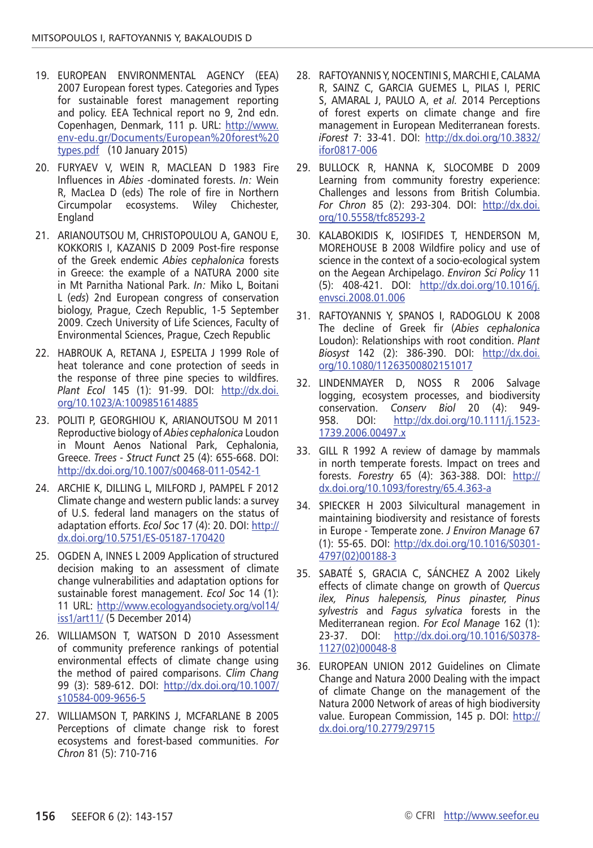- 19. European Environmental Agency (EEA) 2007 European forest types. Categories and Types for sustainable forest management reporting and policy. EEA Technical report no 9, 2nd edn. Copenhagen, Denmark, 111 p. URL: [http://www.](http://www.env-edu.gr/Documents/European forest types.pdf) [env-edu.gr/Documents/European%20forest%20](http://www.env-edu.gr/Documents/European forest types.pdf) [types.pdf](http://www.env-edu.gr/Documents/European forest types.pdf) (10 January 2015)
- 20. Furyaev V, Wein R, MacLean D 1983 Fire Influences in *Abies* -dominated forests. *In:* Wein R, MacLea D (eds) The role of fire in Northern Circumpolar ecosystems. Wiley Chichester, England
- 21. Arianoutsou M, Christopoulou A, Ganou E, Kokkoris I, Kazanis D 2009 Post-fire response of the Greek endemic *Abies cephalonica* forests in Greece: the example of a NATURA 2000 site in Mt Parnitha National Park. *In:* Miko L, Boitani L (*eds*) 2nd European congress of conservation biology, Prague, Czech Republic, 1-5 September 2009. Czech University of Life Sciences, Faculty of Environmental Sciences, Prague, Czech Republic
- 22. Habrouk A, Retana J, Espelta J 1999 Role of heat tolerance and cone protection of seeds in the response of three pine species to wildfires. *Plant Ecol* 145 (1): 91-99. DOI: [http://dx.doi.](http://dx.doi.org/10.1023/A:1009851614885) [org/10.1023/A:1009851614885](http://dx.doi.org/10.1023/A:1009851614885)
- 23. Politi P, Georghiou K, Arianoutsou M 2011 Reproductive biology of *Abies cephalonica* Loudon in Mount Aenos National Park, Cephalonia, Greece. *Trees - Struct Funct* 25 (4): 655-668. DOI: <http://dx.doi.org/10.1007/s00468-011-0542-1>
- 24. Archie K, Dilling L, Milford J, Pampel F 2012 Climate change and western public lands: a survey of U.S. federal land managers on the status of adaptation efforts. *Ecol Soc* 17 (4): 20. DOI: [http://](http://dx.doi.org/10.5751/ES-05187-170420) [dx.doi.org/10.5751/ES-05187-170420](http://dx.doi.org/10.5751/ES-05187-170420)
- 25. OGDEN A, INNES L 2009 Application of structured decision making to an assessment of climate change vulnerabilities and adaptation options for sustainable forest management. *Ecol Soc* 14 (1): 11 URL: [http://www.ecologyandsociety.org/vol14/](http://www.ecologyandsociety.org/vol14/iss1/art11/) [iss1/art11/](http://www.ecologyandsociety.org/vol14/iss1/art11/) (5 December 2014)
- 26. WILLIAMSON T, WATSON D 2010 Assessment of community preference rankings of potential environmental effects of climate change using the method of paired comparisons. *Clim Chang* 99 (3): 589-612. DOI: [http://dx.doi.org/10.1007/](http://dx.doi.org/10.1007/s10584-009-9656-5) [s10584-009-9656-5](http://dx.doi.org/10.1007/s10584-009-9656-5)
- 27. Williamson T, Parkins j, McFarlane B 2005 Perceptions of climate change risk to forest ecosystems and forest-based communities. *For Chron* 81 (5): 710-716
- 28. Raftoyannis Y, Nocentini S, Marchi E, Calama R, Sainz C, Garcia Guemes L, Pilas I, Peric S, Amaral J, Paulo A, *et al.* 2014 Perceptions of forest experts on climate change and fire management in European Mediterranean forests. *iForest* 7: 33-41. DOI: [http://dx.doi.org/10.3832/](http://dx.doi.org/10.3832/ifor0817-006) [ifor0817-006](http://dx.doi.org/10.3832/ifor0817-006)
- 29. Bullock R, Hanna K, Slocombe D 2009 Learning from community forestry experience: Challenges and lessons from British Columbia. *For Chron* 85 (2): 293-304. DOI: [http://dx.doi.](http://dx.doi.org/10.5558/tfc85293-2) [org/10.5558/tfc85293-2](http://dx.doi.org/10.5558/tfc85293-2)
- 30. Kalabokidis K, Iosifides T, Henderson M, MOREHOUSE B 2008 Wildfire policy and use of science in the context of a socio-ecological system on the Aegean Archipelago. *Environ Sci Policy* 11 (5): 408-421. DOI: [http://dx.doi.org/10.1016/j.](http://dx.doi.org/10.1016/j.envsci.2008.01.006) [envsci.2008.01.006](http://dx.doi.org/10.1016/j.envsci.2008.01.006)
- 31. Raftoyannis Y, Spanos I, Radoglou K 2008 The decline of Greek fir (*Abies cephalonica* Loudon): Relationships with root condition. *Plant Biosyst* 142 (2): 386-390. DOI: [http://dx.doi.](http://dx.doi.org/10.1080/11263500802151017) [org/10.1080/11263500802151017](http://dx.doi.org/10.1080/11263500802151017)
- 32. Lindenmayer D, Noss r 2006 Salvage logging, ecosystem processes, and biodiversity conservation. *Conserv Biol* 20 (4): 949- 958. DOI: [http://dx.doi.org/10.1111/j.1523-](http://dx.doi.org/10.1111/j.1523-1739.2006.00497.x) [1739.2006.00497.x](http://dx.doi.org/10.1111/j.1523-1739.2006.00497.x)
- 33. GILL R 1992 A review of damage by mammals in north temperate forests. Impact on trees and forests. *Forestry* 65 (4): 363-388. DOI: [http://](http://dx.doi.org/10.1093/forestry/65.4.363-a) [dx.doi.org/10.1093/forestry/65.4.363-a](http://dx.doi.org/10.1093/forestry/65.4.363-a)
- 34. Spiecker H 2003 Silvicultural management in maintaining biodiversity and resistance of forests in Europe - Temperate zone. *J Environ Manage* 67 (1): 55-65. DOI: [http://dx.doi.org/10.1016/S0301-](http://dx.doi.org/10.1016/S0301-4797(02)00188-3) [4797\(02\)00188-3](http://dx.doi.org/10.1016/S0301-4797(02)00188-3)
- 35. Sabaté S, Gracia C, Sánchez A 2002 Likely effects of climate change on growth of *Quercus ilex, Pinus halepensis, Pinus pinaster, Pinus sylvestris* and *Fagus sylvatica* forests in the Mediterranean region. *For Ecol Manage* 162 (1): 23-37. DOI: [http://dx.doi.org/10.1016/S0378-](http://dx.doi.org/10.1016/S0378-1127(02)00048-8) [1127\(02\)00048-8](http://dx.doi.org/10.1016/S0378-1127(02)00048-8)
- 36. European Union 2012 Guidelines on Climate Change and Natura 2000 Dealing with the impact of climate Change on the management of the Natura 2000 Network of areas of high biodiversity value. European Commission, 145 p. DOI: [http://](http://dx.doi.org/10.2779/29715) [dx.doi.org/10.2779/29715](http://dx.doi.org/10.2779/29715)